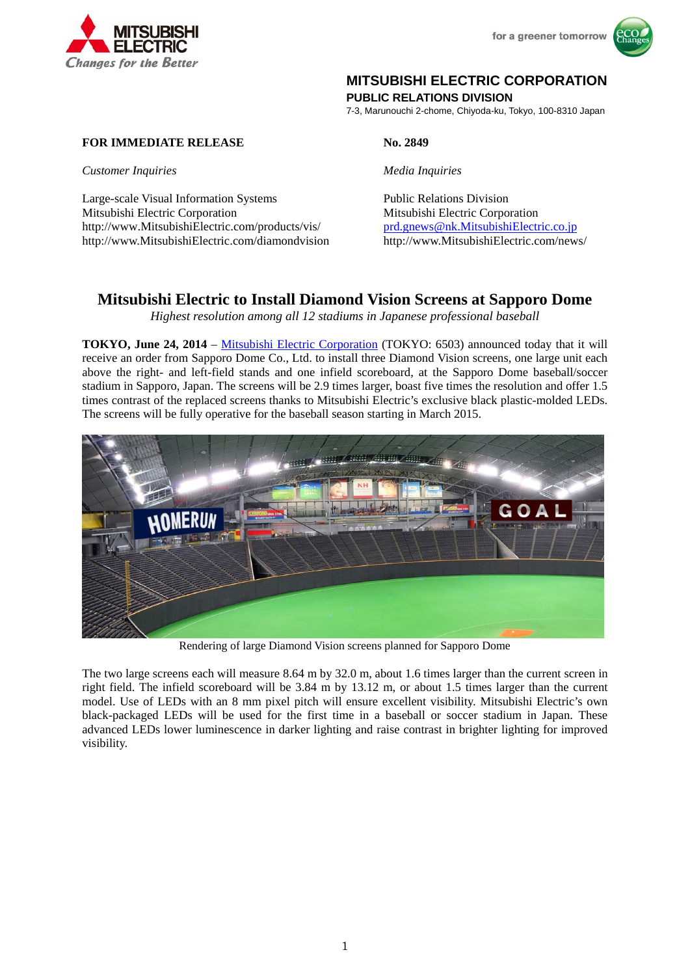

# **MITSUBISHI ELECTRIC CORPORATION**

**PUBLIC RELATIONS DIVISION** 

7-3, Marunouchi 2-chome, Chiyoda-ku, Tokyo, 100-8310 Japan

## **FOR IMMEDIATE RELEASE No. 2849**

*Customer Inquiries Media Inquiries*

Large-scale Visual Information Systems Public Relations Division Mitsubishi Electric Corporation Mitsubishi Electric Corporation http://www.MitsubishiElectric.com/products/vis/ prd.gnews@nk.MitsubishiElectric.co.jp http://www.MitsubishiElectric.com/diamondvision http://www.MitsubishiElectric.com/news/

## **Mitsubishi Electric to Install Diamond Vision Screens at Sapporo Dome**

*Highest resolution among all 12 stadiums in Japanese professional baseball* 

**TOKYO, June 24, 2014** – Mitsubishi Electric Corporation (TOKYO: 6503) announced today that it will receive an order from Sapporo Dome Co., Ltd. to install three Diamond Vision screens, one large unit each above the right- and left-field stands and one infield scoreboard, at the Sapporo Dome baseball/soccer stadium in Sapporo, Japan. The screens will be 2.9 times larger, boast five times the resolution and offer 1.5 times contrast of the replaced screens thanks to Mitsubishi Electric's exclusive black plastic-molded LEDs. The screens will be fully operative for the baseball season starting in March 2015.



Rendering of large Diamond Vision screens planned for Sapporo Dome

The two large screens each will measure 8.64 m by 32.0 m, about 1.6 times larger than the current screen in right field. The infield scoreboard will be 3.84 m by 13.12 m, or about 1.5 times larger than the current model. Use of LEDs with an 8 mm pixel pitch will ensure excellent visibility. Mitsubishi Electric's own black-packaged LEDs will be used for the first time in a baseball or soccer stadium in Japan. These advanced LEDs lower luminescence in darker lighting and raise contrast in brighter lighting for improved visibility.